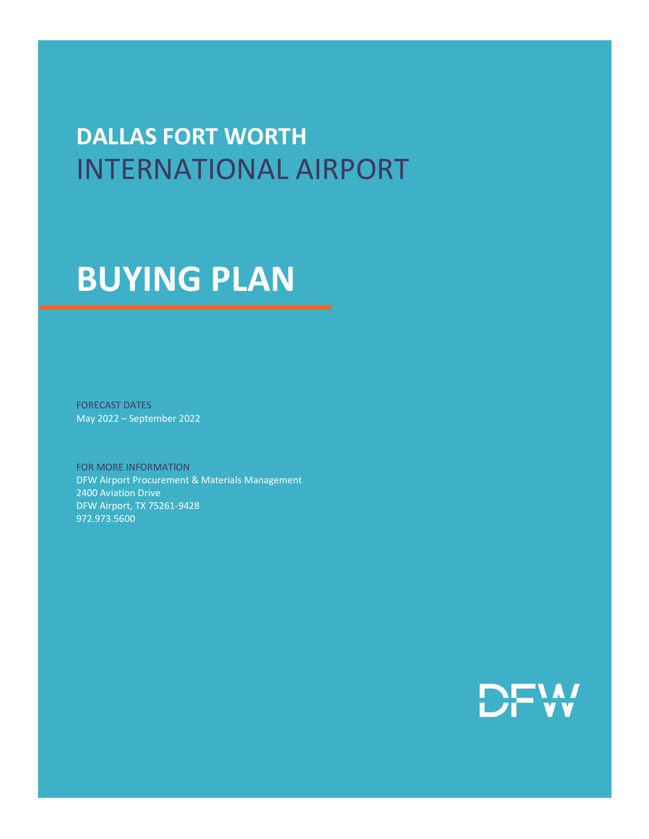## **DALLAS FORT WORTH** INTERNATIONAL AIRPORT

# **BUYING PLAN**

FORECAST DATES May 2022 – September 2022

FOR MORE INFORMATION DFW Airport Procurement & Materials Management 2400 Aviation Drive DFW Airport, TX 75261-9428 972.973.5600

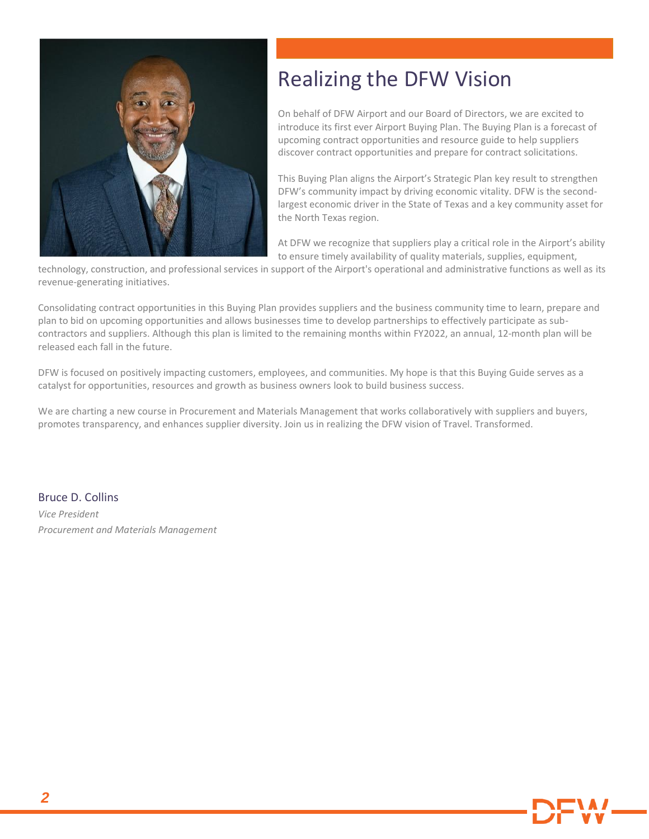

### Realizing the DFW Vision

On behalf of DFW Airport and our Board of Directors, we are excited to introduce its first ever Airport Buying Plan. The Buying Plan is a forecast of upcoming contract opportunities and resource guide to help suppliers discover contract opportunities and prepare for contract solicitations.

This Buying Plan aligns the Airport's Strategic Plan key result to strengthen DFW's community impact by driving economic vitality. DFW is the secondlargest economic driver in the State of Texas and a key community asset for the North Texas region.

At DFW we recognize that suppliers play a critical role in the Airport's ability to ensure timely availability of quality materials, supplies, equipment,

technology, construction, and professional services in support of the Airport's operational and administrative functions as well as its revenue-generating initiatives.

Consolidating contract opportunities in this Buying Plan provides suppliers and the business community time to learn, prepare and plan to bid on upcoming opportunities and allows businesses time to develop partnerships to effectively participate as subcontractors and suppliers. Although this plan is limited to the remaining months within FY2022, an annual, 12-month plan will be released each fall in the future.

DFW is focused on positively impacting customers, employees, and communities. My hope is that this Buying Guide serves as a catalyst for opportunities, resources and growth as business owners look to build business success.

We are charting a new course in Procurement and Materials Management that works collaboratively with suppliers and buyers, promotes transparency, and enhances supplier diversity. Join us in realizing the DFW vision of Travel. Transformed.

Bruce D. Collins

*Vice President Procurement and Materials Management*

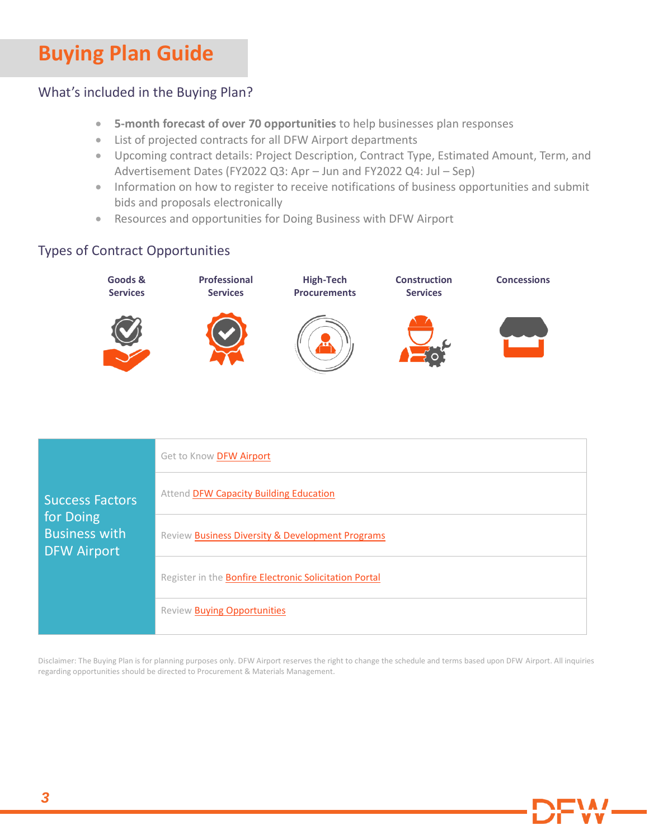### **Buying Plan Guide**

#### What's included in the Buying Plan?

- **5-month forecast of over 70 opportunities** to help businesses plan responses
- List of projected contracts for all DFW Airport departments
- Upcoming contract details: Project Description, Contract Type, Estimated Amount, Term, and Advertisement Dates (FY2022 Q3: Apr – Jun and FY2022 Q4: Jul – Sep)
- Information on how to register to receive notifications of business opportunities and submit bids and proposals electronically
- Resources and opportunities for Doing Business with DFW Airport

#### Types of Contract Opportunities



| <b>Success Factors</b>                                  | Get to Know DFW Airport                                |
|---------------------------------------------------------|--------------------------------------------------------|
|                                                         | Attend DFW Capacity Building Education                 |
| for Doing<br><b>Business with</b><br><b>DFW Airport</b> | Review Business Diversity & Development Programs       |
|                                                         | Register in the Bonfire Electronic Solicitation Portal |
|                                                         | Review Buying Opportunities                            |

Disclaimer: The Buying Plan is for planning purposes only. DFW Airport reserves the right to change the schedule and terms based upon DFW Airport. All inquiries regarding opportunities should be directed to Procurement & Materials Management.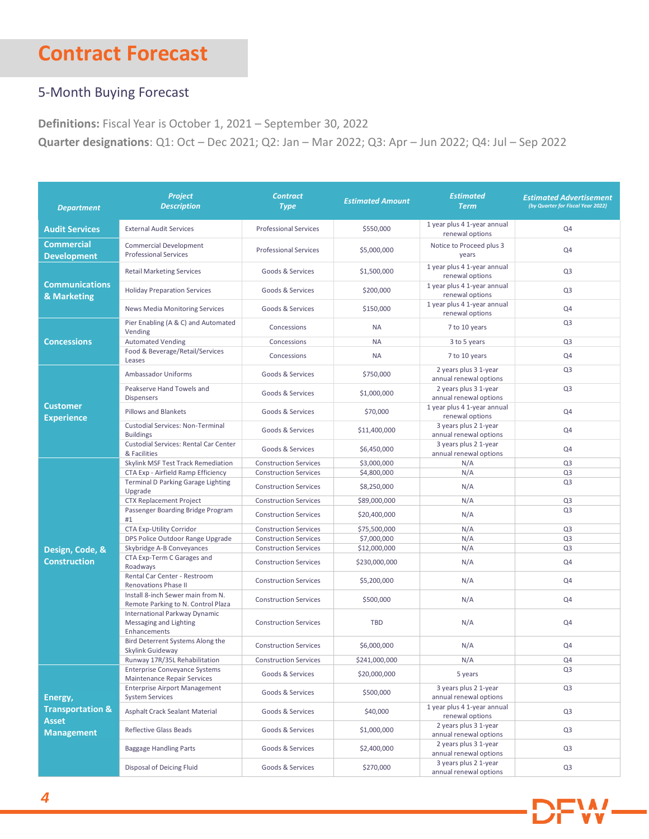### **Contract Forecast**

#### 5-Month Buying Forecast

**Definitions:** Fiscal Year is October 1, 2021 – September 30, 2022

**Quarter designations**: Q1: Oct – Dec 2021; Q2: Jan – Mar 2022; Q3: Apr – Jun 2022; Q4: Jul – Sep 2022

| <b>Department</b>                                                           | Project<br><b>Description</b>                                              | <b>Contract</b><br><b>Type</b> | <b>Estimated Amount</b> | <b>Estimated</b><br><b>Term</b>                 | <b>Estimated Advertisement</b><br>(by Quarter for Fiscal Year 2022) |
|-----------------------------------------------------------------------------|----------------------------------------------------------------------------|--------------------------------|-------------------------|-------------------------------------------------|---------------------------------------------------------------------|
| <b>Audit Services</b>                                                       | <b>External Audit Services</b>                                             | <b>Professional Services</b>   | \$550,000               | 1 year plus 4 1-year annual<br>renewal options  | Q4                                                                  |
| <b>Commercial</b><br><b>Development</b>                                     | <b>Commercial Development</b><br><b>Professional Services</b>              | <b>Professional Services</b>   | \$5,000,000             | Notice to Proceed plus 3<br>years               | Q4                                                                  |
| <b>Communications</b><br>& Marketing                                        | <b>Retail Marketing Services</b>                                           | Goods & Services               | \$1,500,000             | 1 year plus 4 1-year annual<br>renewal options  | Q <sub>3</sub>                                                      |
|                                                                             | <b>Holiday Preparation Services</b>                                        | Goods & Services               | \$200,000               | 1 year plus 4 1-year annual<br>renewal options  | Q <sub>3</sub>                                                      |
|                                                                             | <b>News Media Monitoring Services</b>                                      | Goods & Services               | \$150,000               | 1 year plus 4 1-year annual<br>renewal options  | Q4                                                                  |
|                                                                             | Pier Enabling (A & C) and Automated<br>Vending                             | Concessions                    | <b>NA</b>               | 7 to 10 years                                   | Q <sub>3</sub>                                                      |
| <b>Concessions</b>                                                          | <b>Automated Vending</b>                                                   | Concessions                    | <b>NA</b>               | 3 to 5 years                                    | Q <sub>3</sub>                                                      |
|                                                                             | Food & Beverage/Retail/Services<br>Leases                                  | Concessions                    | <b>NA</b>               | 7 to 10 years                                   | Q4                                                                  |
|                                                                             | Ambassador Uniforms                                                        | Goods & Services               | \$750,000               | 2 years plus 3 1-year<br>annual renewal options | Q <sub>3</sub>                                                      |
|                                                                             | Peakserve Hand Towels and<br><b>Dispensers</b>                             | Goods & Services               | \$1,000,000             | 2 years plus 3 1-year<br>annual renewal options | Q <sub>3</sub>                                                      |
| <b>Customer</b><br><b>Experience</b>                                        | Pillows and Blankets                                                       | Goods & Services               | \$70,000                | 1 year plus 4 1-year annual<br>renewal options  | Q4                                                                  |
|                                                                             | <b>Custodial Services: Non-Terminal</b><br><b>Buildings</b>                | Goods & Services               | \$11,400,000            | 3 years plus 2 1-year<br>annual renewal options | Q4                                                                  |
|                                                                             | Custodial Services: Rental Car Center<br>& Facilities                      | Goods & Services               | \$6,450,000             | 3 years plus 2 1-year<br>annual renewal options | Q4                                                                  |
|                                                                             | Skylink MSF Test Track Remediation                                         | <b>Construction Services</b>   | \$3,000,000             | N/A                                             | Q <sub>3</sub>                                                      |
|                                                                             | CTA Exp - Airfield Ramp Efficiency                                         | <b>Construction Services</b>   | \$4,800,000             | N/A                                             | Q <sub>3</sub>                                                      |
|                                                                             | <b>Terminal D Parking Garage Lighting</b><br>Upgrade                       | <b>Construction Services</b>   | \$8,250,000             | N/A                                             | Q <sub>3</sub>                                                      |
|                                                                             | <b>CTX Replacement Project</b>                                             | <b>Construction Services</b>   | \$89,000,000            | N/A                                             | Q <sub>3</sub>                                                      |
|                                                                             | Passenger Boarding Bridge Program<br>#1                                    | <b>Construction Services</b>   | \$20,400,000            | N/A                                             | Q <sub>3</sub>                                                      |
|                                                                             | <b>CTA Exp-Utility Corridor</b>                                            | <b>Construction Services</b>   | \$75,500,000            | N/A                                             | Q <sub>3</sub>                                                      |
|                                                                             | DPS Police Outdoor Range Upgrade                                           | <b>Construction Services</b>   | \$7,000,000             | N/A                                             | Q <sub>3</sub>                                                      |
| Design, Code, &                                                             | Skybridge A-B Conveyances                                                  | <b>Construction Services</b>   | \$12,000,000            | N/A                                             | Q <sub>3</sub>                                                      |
| <b>Construction</b>                                                         | CTA Exp-Term C Garages and<br>Roadways                                     | <b>Construction Services</b>   | \$230,000,000           | N/A                                             | Q4                                                                  |
|                                                                             | Rental Car Center - Restroom<br><b>Renovations Phase II</b>                | <b>Construction Services</b>   | \$5,200,000             | N/A                                             | Q4                                                                  |
|                                                                             | Install 8-inch Sewer main from N.<br>Remote Parking to N. Control Plaza    | <b>Construction Services</b>   | \$500,000               | N/A                                             | Q4                                                                  |
|                                                                             | International Parkway Dynamic<br>Messaging and Lighting<br>Enhancements    | <b>Construction Services</b>   | <b>TBD</b>              | N/A                                             | Q4                                                                  |
|                                                                             | Bird Deterrent Systems Along the<br>Skylink Guideway                       | <b>Construction Services</b>   | \$6,000,000             | N/A                                             | Q4                                                                  |
|                                                                             | Runway 17R/35L Rehabilitation                                              | <b>Construction Services</b>   | \$241,000,000           | N/A                                             | Q4                                                                  |
| Energy,<br><b>Transportation &amp;</b><br><b>Asset</b><br><b>Management</b> | <b>Enterprise Conveyance Systems</b><br><b>Maintenance Repair Services</b> | Goods & Services               | \$20,000,000            | 5 years                                         | Q <sub>3</sub>                                                      |
|                                                                             | <b>Enterprise Airport Management</b><br><b>System Services</b>             | Goods & Services               | \$500,000               | 3 years plus 2 1-year<br>annual renewal options | Q3                                                                  |
|                                                                             | Asphalt Crack Sealant Material                                             | Goods & Services               | \$40,000                | 1 year plus 4 1-year annual<br>renewal options  | Q <sub>3</sub>                                                      |
|                                                                             | <b>Reflective Glass Beads</b>                                              | Goods & Services               | \$1,000,000             | 2 years plus 3 1-year<br>annual renewal options | Q3                                                                  |
|                                                                             | <b>Baggage Handling Parts</b>                                              | Goods & Services               | \$2,400,000             | 2 years plus 3 1-year<br>annual renewal options | Q <sub>3</sub>                                                      |
|                                                                             | Disposal of Deicing Fluid                                                  | Goods & Services               | \$270,000               | 3 years plus 2 1-year<br>annual renewal options | Q <sub>3</sub>                                                      |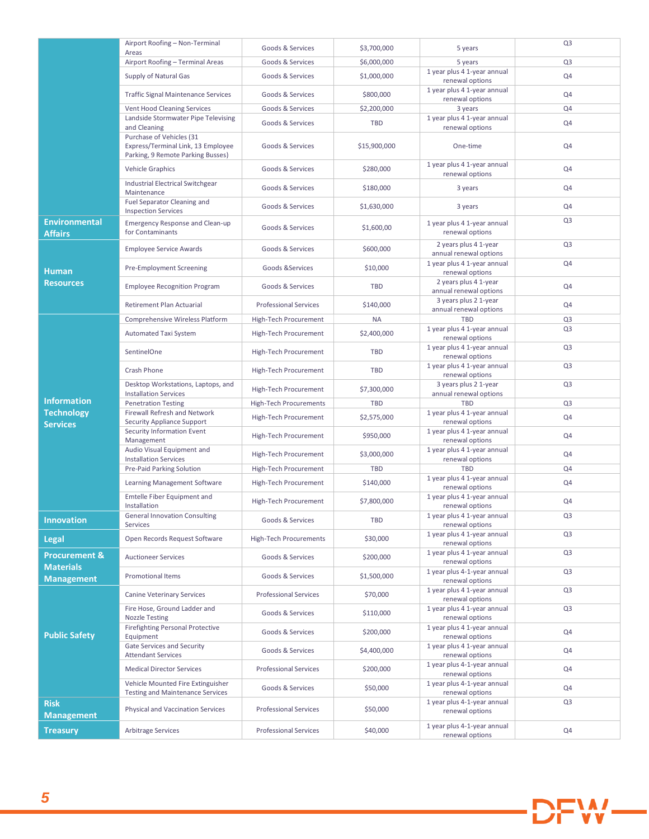|                                              | Airport Roofing - Non-Terminal                                                                      | Goods & Services              | \$3,700,000  | 5 years                                         | Q <sub>3</sub> |
|----------------------------------------------|-----------------------------------------------------------------------------------------------------|-------------------------------|--------------|-------------------------------------------------|----------------|
|                                              | Areas<br>Airport Roofing - Terminal Areas                                                           | Goods & Services              | \$6,000,000  | 5 years                                         | Q <sub>3</sub> |
|                                              | Supply of Natural Gas                                                                               | Goods & Services              | \$1,000,000  | 1 year plus 4 1-year annual<br>renewal options  | Q4             |
|                                              | <b>Traffic Signal Maintenance Services</b>                                                          | Goods & Services              | \$800,000    | 1 year plus 4 1-year annual<br>renewal options  | Q4             |
|                                              | Vent Hood Cleaning Services                                                                         | Goods & Services              | \$2,200,000  | 3 years                                         | Q4             |
|                                              | Landside Stormwater Pipe Televising<br>and Cleaning                                                 | Goods & Services              | TBD          | 1 year plus 4 1-year annual<br>renewal options  | Q4             |
|                                              | Purchase of Vehicles (31<br>Express/Terminal Link, 13 Employee<br>Parking, 9 Remote Parking Busses) | Goods & Services              | \$15,900,000 | One-time                                        | Q4             |
|                                              | <b>Vehicle Graphics</b>                                                                             | Goods & Services              | \$280,000    | 1 year plus 4 1-year annual<br>renewal options  | Q4             |
|                                              | Industrial Electrical Switchgear<br>Maintenance                                                     | Goods & Services              | \$180,000    | 3 years                                         | Q4             |
|                                              | Fuel Separator Cleaning and<br><b>Inspection Services</b>                                           | Goods & Services              | \$1,630,000  | 3 years                                         | Q4             |
| <b>Environmental</b><br><b>Affairs</b>       | <b>Emergency Response and Clean-up</b><br>for Contaminants                                          | Goods & Services              | \$1,600,00   | 1 year plus 4 1-year annual<br>renewal options  | Q <sub>3</sub> |
|                                              | <b>Employee Service Awards</b>                                                                      | Goods & Services              | \$600,000    | 2 years plus 4 1-year<br>annual renewal options | Q <sub>3</sub> |
| <b>Human</b>                                 | Pre-Employment Screening                                                                            | Goods & Services              | \$10,000     | 1 year plus 4 1-year annual<br>renewal options  | Q4             |
| <b>Resources</b>                             | <b>Employee Recognition Program</b>                                                                 | Goods & Services              | <b>TBD</b>   | 2 years plus 4 1-year<br>annual renewal options | Q4             |
|                                              | Retirement Plan Actuarial                                                                           | <b>Professional Services</b>  | \$140,000    | 3 years plus 2 1-year<br>annual renewal options | Q4             |
|                                              | Comprehensive Wireless Platform                                                                     | High-Tech Procurement         | <b>NA</b>    | <b>TBD</b>                                      | Q <sub>3</sub> |
|                                              | Automated Taxi System                                                                               | High-Tech Procurement         | \$2,400,000  | 1 year plus 4 1-year annual<br>renewal options  | Q <sub>3</sub> |
|                                              | SentinelOne                                                                                         | High-Tech Procurement         | <b>TBD</b>   | 1 year plus 4 1-year annual<br>renewal options  | Q <sub>3</sub> |
|                                              | <b>Crash Phone</b>                                                                                  | High-Tech Procurement         | <b>TBD</b>   | 1 year plus 4 1-year annual<br>renewal options  | Q <sub>3</sub> |
|                                              | Desktop Workstations, Laptops, and<br><b>Installation Services</b>                                  | High-Tech Procurement         | \$7,300,000  | 3 years plus 2 1-year<br>annual renewal options | Q <sub>3</sub> |
| <b>Information</b>                           | <b>Penetration Testing</b>                                                                          | <b>High-Tech Procurements</b> | <b>TBD</b>   | <b>TBD</b>                                      | Q <sub>3</sub> |
| <b>Technology</b><br><b>Services</b>         | Firewall Refresh and Network<br><b>Security Appliance Support</b>                                   | High-Tech Procurement         | \$2,575,000  | 1 year plus 4 1-year annual<br>renewal options  | Q4             |
|                                              | Security Information Event<br>Management                                                            | High-Tech Procurement         | \$950,000    | 1 year plus 4 1-year annual<br>renewal options  | Q4             |
|                                              | Audio Visual Equipment and<br><b>Installation Services</b>                                          | High-Tech Procurement         | \$3,000,000  | 1 year plus 4 1-year annual<br>renewal options  | Q4             |
|                                              | Pre-Paid Parking Solution                                                                           | High-Tech Procurement         | <b>TBD</b>   | <b>TBD</b>                                      | Q <sub>4</sub> |
|                                              | Learning Management Software                                                                        | High-Tech Procurement         | \$140,000    | 1 year plus 4 1-year annual<br>renewal options  | Q4             |
|                                              | Emtelle Fiber Equipment and<br>Installation                                                         | High-Tech Procurement         | \$7,800,000  | 1 year plus 4 1-year annual<br>renewal options  | Q4             |
| <b>Innovation</b>                            | <b>General Innovation Consulting</b><br>Services                                                    | Goods & Services              | TBD          | 1 year plus 4 1-year annual<br>renewal options  | Q <sub>3</sub> |
| <b>Legal</b>                                 | Open Records Request Software                                                                       | <b>High-Tech Procurements</b> | \$30,000     | 1 year plus 4 1-year annual<br>renewal options  | Q <sub>3</sub> |
| <b>Procurement &amp;</b><br><b>Materials</b> | <b>Auctioneer Services</b>                                                                          | Goods & Services              | \$200,000    | 1 year plus 4 1-year annual<br>renewal options  | Q <sub>3</sub> |
| <b>Management</b>                            | <b>Promotional Items</b>                                                                            | Goods & Services              | \$1,500,000  | 1 year plus 4-1-year annual<br>renewal options  | Q <sub>3</sub> |
| <b>Public Safety</b>                         | <b>Canine Veterinary Services</b>                                                                   | <b>Professional Services</b>  | \$70,000     | 1 year plus 4 1-year annual<br>renewal options  | Q <sub>3</sub> |
|                                              | Fire Hose, Ground Ladder and<br><b>Nozzle Testing</b>                                               | Goods & Services              | \$110,000    | 1 year plus 4 1-year annual<br>renewal options  | Q <sub>3</sub> |
|                                              | <b>Firefighting Personal Protective</b><br>Equipment                                                | Goods & Services              | \$200,000    | 1 year plus 4 1-year annual<br>renewal options  | Q4             |
|                                              | <b>Gate Services and Security</b><br><b>Attendant Services</b>                                      | Goods & Services              | \$4,400,000  | 1 year plus 4 1-year annual<br>renewal options  | Q4             |
|                                              | <b>Medical Director Services</b>                                                                    | <b>Professional Services</b>  | \$200,000    | 1 year plus 4-1-year annual<br>renewal options  | Q4             |
|                                              | Vehicle Mounted Fire Extinguisher<br><b>Testing and Maintenance Services</b>                        | Goods & Services              | \$50,000     | 1 year plus 4-1-year annual<br>renewal options  | Q4             |
| <b>Risk</b><br><b>Management</b>             | Physical and Vaccination Services                                                                   | <b>Professional Services</b>  | \$50,000     | 1 year plus 4-1-year annual<br>renewal options  | Q <sub>3</sub> |
| <b>Treasury</b>                              | <b>Arbitrage Services</b>                                                                           | <b>Professional Services</b>  | \$40,000     | 1 year plus 4-1-year annual<br>renewal options  | Q4             |